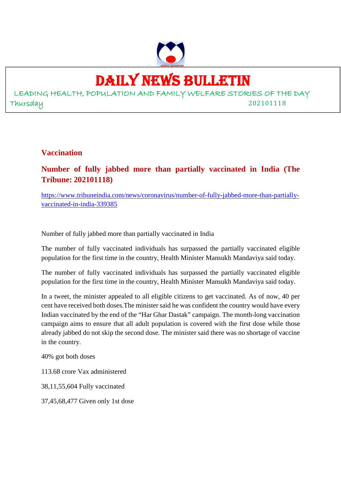

# DAILY NEWS BULLETIN

LEADING HEALTH, POPULATION AND FAMILY WELFARE STORIES OF THE DAY Thursday 202101118

**Vaccination**

**Number of fully jabbed more than partially vaccinated in India (The Tribune: 202101118)**

https://www.tribuneindia.com/news/coronavirus/number-of-fully-jabbed-more-than-partiallyvaccinated-in-india-339385

Number of fully jabbed more than partially vaccinated in India

The number of fully vaccinated individuals has surpassed the partially vaccinated eligible population for the first time in the country, Health Minister Mansukh Mandaviya said today.

The number of fully vaccinated individuals has surpassed the partially vaccinated eligible population for the first time in the country, Health Minister Mansukh Mandaviya said today.

In a tweet, the minister appealed to all eligible citizens to get vaccinated. As of now, 40 per cent have received both doses.The minister said he was confident the country would have every Indian vaccinated by the end of the "Har Ghar Dastak" campaign. The month-long vaccination campaign aims to ensure that all adult population is covered with the first dose while those already jabbed do not skip the second dose. The minister said there was no shortage of vaccine in the country.

40% got both doses

113.68 crore Vax administered

38,11,55,604 Fully vaccinated

37,45,68,477 Given only 1st dose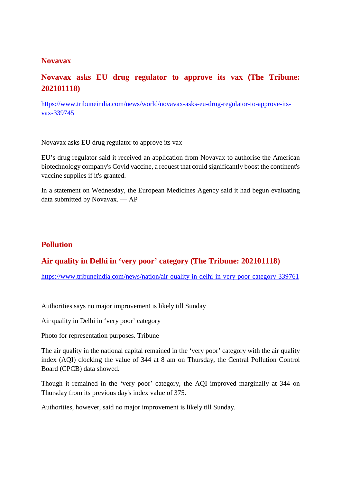#### **Novavax**

# **Novavax asks EU drug regulator to approve its vax (The Tribune: 202101118)**

https://www.tribuneindia.com/news/world/novavax-asks-eu-drug-regulator-to-approve-itsvax-339745

Novavax asks EU drug regulator to approve its vax

EU's drug regulator said it received an application from Novavax to authorise the American biotechnology company's Covid vaccine, a request that could significantly boost the continent's vaccine supplies if it's granted.

In a statement on Wednesday, the European Medicines Agency said it had begun evaluating data submitted by Novavax. — AP

#### **Pollution**

### **Air quality in Delhi in 'very poor' category (The Tribune: 202101118)**

https://www.tribuneindia.com/news/nation/air-quality-in-delhi-in-very-poor-category-339761

Authorities says no major improvement is likely till Sunday

Air quality in Delhi in 'very poor' category

Photo for representation purposes. Tribune

The air quality in the national capital remained in the 'very poor' category with the air quality index (AQI) clocking the value of 344 at 8 am on Thursday, the Central Pollution Control Board (CPCB) data showed.

Though it remained in the 'very poor' category, the AQI improved marginally at 344 on Thursday from its previous day's index value of 375.

Authorities, however, said no major improvement is likely till Sunday.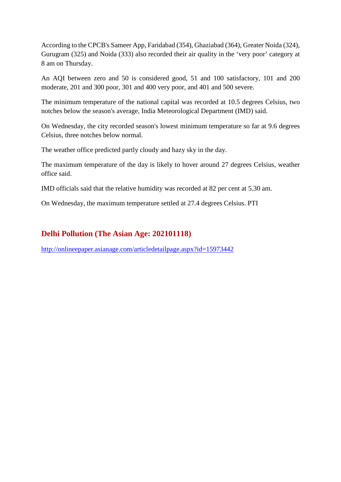According to the CPCB's Sameer App, Faridabad (354), Ghaziabad (364), Greater Noida (324), Gurugram (325) and Noida (333) also recorded their air quality in the 'very poor' category at 8 am on Thursday.

An AQI between zero and 50 is considered good, 51 and 100 satisfactory, 101 and 200 moderate, 201 and 300 poor, 301 and 400 very poor, and 401 and 500 severe.

The minimum temperature of the national capital was recorded at 10.5 degrees Celsius, two notches below the season's average, India Meteorological Department (IMD) said.

On Wednesday, the city recorded season's lowest minimum temperature so far at 9.6 degrees Celsius, three notches below normal.

The weather office predicted partly cloudy and hazy sky in the day.

The maximum temperature of the day is likely to hover around 27 degrees Celsius, weather office said.

IMD officials said that the relative humidity was recorded at 82 per cent at 5.30 am.

On Wednesday, the maximum temperature settled at 27.4 degrees Celsius. PTI

#### **Delhi Pollution (The Asian Age: 202101118)**

http://onlineepaper.asianage.com/articledetailpage.aspx?id=15973442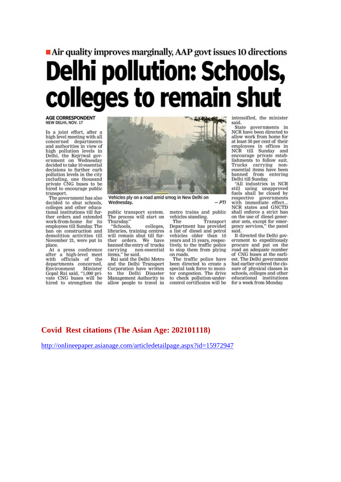# Air quality improves marginally, AAP govt issues 10 directions **Delhi pollution: Schools,** colleges to remain shut

AGE CORRESPONDENT<br>NEW DELHI, NOV. 17

In a joint effort, after a<br>high level meeting with all concerned departments<br>and authorities in view of high pollution levels in<br>Delhi, the Kejriwal government on Wednesday<br>decided to take 10 essential decisions to further curb pollution levels in the city including, one thousand<br>private CNG buses to be hired to encourage public transport.

The government has also decided to shut schools,<br>colleges and other educational institutions till further orders and extended work-from-home for its<br>employees till Sunday. The its ban on construction and demolition activities till November 21, were put in place.

At a press conference after a high-level meet<br>with officials of the departments concerned, Environment Minister Gopal Rai said, "1,000 private CNG buses will be hired to strengthen the



Vehicles ply on a road amid smog in New Delhi on Wednesday.

public transport system.<br>The process will start on Thursday."

"Schools, colleges, libraries, training centres will remain shut till further orders. We have banned the entry of trucks carrying no<br>items," he said. non-essential

Rai said the Delhi Metro and the Delhi Transport Corporation have written the Delhi Disaster to Management Authority to allow people to travel in

metro trains and public vehicles standing.

 $-PTI$ 

The Transport Department has provided a list of diesel and petrol vehicles older than 10 years and 15 years, respectively, to the traffic police to stop them from plying on roads.

The traffic police have<br>been directed to create a special task force to monitor congestion. The drive to check pollution-undercontrol certificates will be

intensified, the minister said.

State governments in NCR have been directed to allow work from home for at least 50 per cent of their employees in offices in<br>NCR till Sunday and encourage private establishments to follow suit. Trucks carrying nonessential items have been banned from entering<br>Delhi till Sunday.

"All industries in NCR still using unapproved<br>fuels shall be closed by respective governments<br>with immediate effect...<br>NCR states and GNCTD shall enforce a strict ban on the use of diesel generator sets, except for emergency services," the panel said.

It directed the Delhi government to expeditiously procure and put on the road an adequate number of CNG buses at the earliest. The Delhi government had earlier ordered the closure of physical classes in schools, colleges and other<br>educational institutions for a week from Monday.

#### **Covid Rest citations (The Asian Age: 202101118)**

http://onlineepaper.asianage.com/articledetailpage.aspx?id=15972947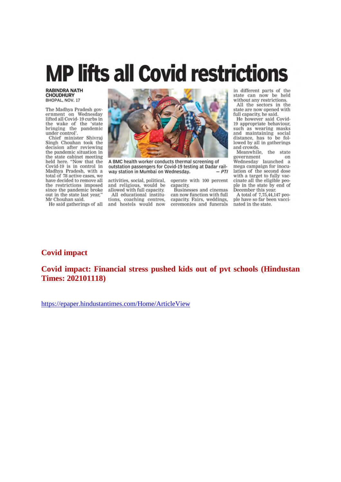# **MP lifts all Covid restrictions**

**RABINDRA NATH CHOUDHURY** BHOPAL, NOV. 17

The Madhya Pradesh government on Wednesday lifted all Covid-19 curbs in the wake of the 'state bringing the pandemic under control'

Chief minister Shivraj<br>Singh Chouhan took the decision after reviewing the pandemic situation in the state cabinet meeting held here. "Now that the<br>Covid-19 is in control in Madhya Pradesh, with a<br>total of 78 active cases, we have decided to remove all the restrictions imposed since the pandemic broke out in the state last year," Mr Chouhan said.

He said gatherings of all



A BMC health worker conducts thermal screening of outstation passengers for Covid-19 testing at Dadar railway station in Mumbai on Wednesday.  $-PTI$ 

activities, social, political, and religious, would be allowed with full capacity. All educational institu-

tions, coaching centres. and hostels would now

operate with 100 percent capacity.

**Businesses** and cinemas can now function with full capacity. Fairs, weddings, ceremonies and funerals

in different parts of the state can now be held without any restrictions.

All the sectors in the state are now opened with full capacity, he said.

He however said Covid-19 appropriate behaviour. such as wearing masks and maintaining social distance, has to be followed by all in gatherings and crowds.

Meanwhile, the state government on Wednesday launched a mega campaign for inoculation of the second dose<br>with a target to fully vaccinate all the eligible people in the state by end of December this year.

A total of 7,75,44,147 people have so far been vaccinated in the state.

#### **Covid impact**

**Covid impact: Financial stress pushed kids out of pvt schools (Hindustan Times: 202101118)**

https://epaper.hindustantimes.com/Home/ArticleView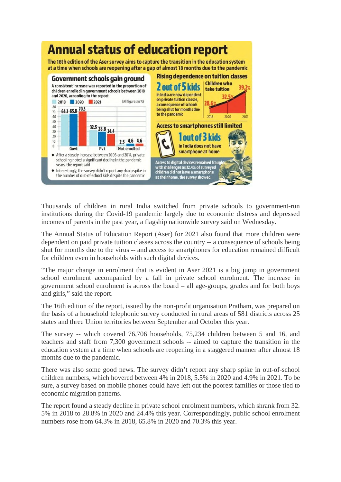

Thousands of children in rural India switched from private schools to government-run institutions during the Covid-19 pandemic largely due to economic distress and depressed incomes of parents in the past year, a flagship nationwide survey said on Wednesday.

The Annual Status of Education Report (Aser) for 2021 also found that more children were dependent on paid private tuition classes across the country -- a consequence of schools being shut for months due to the virus -- and access to smartphones for education remained difficult for children even in households with such digital devices.

"The major change in enrolment that is evident in Aser 2021 is a big jump in government school enrolment accompanied by a fall in private school enrolment. The increase in government school enrolment is across the board – all age-groups, grades and for both boys and girls," said the report.

The 16th edition of the report, issued by the non-profit organisation Pratham, was prepared on the basis of a household telephonic survey conducted in rural areas of 581 districts across 25 states and three Union territories between September and October this year.

The survey -- which covered 76,706 households, 75,234 children between 5 and 16, and teachers and staff from 7,300 government schools -- aimed to capture the transition in the education system at a time when schools are reopening in a staggered manner after almost 18 months due to the pandemic.

There was also some good news. The survey didn't report any sharp spike in out-of-school children numbers, which hovered between 4% in 2018, 5.5% in 2020 and 4.9% in 2021. To be sure, a survey based on mobile phones could have left out the poorest families or those tied to economic migration patterns.

The report found a steady decline in private school enrolment numbers, which shrank from 32. 5% in 2018 to 28.8% in 2020 and 24.4% this year. Correspondingly, public school enrolment numbers rose from 64.3% in 2018, 65.8% in 2020 and 70.3% this year.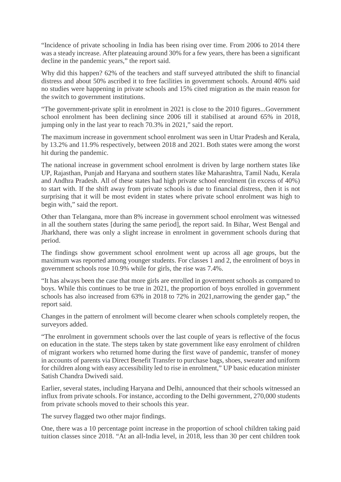"Incidence of private schooling in India has been rising over time. From 2006 to 2014 there was a steady increase. After plateauing around 30% for a few years, there has been a significant decline in the pandemic years," the report said.

Why did this happen? 62% of the teachers and staff surveyed attributed the shift to financial distress and about 50% ascribed it to free facilities in government schools. Around 40% said no studies were happening in private schools and 15% cited migration as the main reason for the switch to government institutions.

"The government-private split in enrolment in 2021 is close to the 2010 figures...Government school enrolment has been declining since 2006 till it stabilised at around 65% in 2018, jumping only in the last year to reach 70.3% in 2021," said the report.

The maximum increase in government school enrolment was seen in Uttar Pradesh and Kerala, by 13.2% and 11.9% respectively, between 2018 and 2021. Both states were among the worst hit during the pandemic.

The national increase in government school enrolment is driven by large northern states like UP, Rajasthan, Punjab and Haryana and southern states like Maharashtra, Tamil Nadu, Kerala and Andhra Pradesh. All of these states had high private school enrolment (in excess of 40%) to start with. If the shift away from private schools is due to financial distress, then it is not surprising that it will be most evident in states where private school enrolment was high to begin with," said the report.

Other than Telangana, more than 8% increase in government school enrolment was witnessed in all the southern states [during the same period], the report said. In Bihar, West Bengal and Jharkhand, there was only a slight increase in enrolment in government schools during that period.

The findings show government school enrolment went up across all age groups, but the maximum was reported among younger students. For classes 1 and 2, the enrolment of boys in government schools rose 10.9% while for girls, the rise was 7.4%.

"It has always been the case that more girls are enrolled in government schools as compared to boys. While this continues to be true in 2021, the proportion of boys enrolled in government schools has also increased from 63% in 2018 to 72% in 2021,narrowing the gender gap," the report said.

Changes in the pattern of enrolment will become clearer when schools completely reopen, the surveyors added.

"The enrolment in government schools over the last couple of years is reflective of the focus on education in the state. The steps taken by state government like easy enrolment of children of migrant workers who returned home during the first wave of pandemic, transfer of money in accounts of parents via Direct Benefit Transfer to purchase bags, shoes, sweater and uniform for children along with easy accessibility led to rise in enrolment," UP basic education minister Satish Chandra Dwivedi said.

Earlier, several states, including Haryana and Delhi, announced that their schools witnessed an influx from private schools. For instance, according to the Delhi government, 270,000 students from private schools moved to their schools this year.

The survey flagged two other major findings.

One, there was a 10 percentage point increase in the proportion of school children taking paid tuition classes since 2018. "At an all-India level, in 2018, less than 30 per cent children took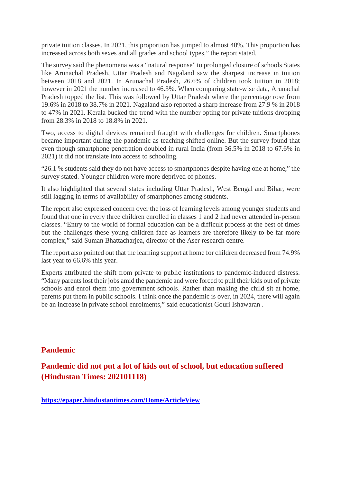private tuition classes. In 2021, this proportion has jumped to almost 40%. This proportion has increased across both sexes and all grades and school types," the report stated.

The survey said the phenomena was a "natural response" to prolonged closure of schools States like Arunachal Pradesh, Uttar Pradesh and Nagaland saw the sharpest increase in tuition between 2018 and 2021. In Arunachal Pradesh, 26.6% of children took tuition in 2018; however in 2021 the number increased to 46.3%. When comparing state-wise data, Arunachal Pradesh topped the list. This was followed by Uttar Pradesh where the percentage rose from 19.6% in 2018 to 38.7% in 2021. Nagaland also reported a sharp increase from 27.9 % in 2018 to 47% in 2021. Kerala bucked the trend with the number opting for private tuitions dropping from 28.3% in 2018 to 18.8% in 2021.

Two, access to digital devices remained fraught with challenges for children. Smartphones became important during the pandemic as teaching shifted online. But the survey found that even though smartphone penetration doubled in rural India (from 36.5% in 2018 to 67.6% in 2021) it did not translate into access to schooling.

"26.1 % students said they do not have access to smartphones despite having one at home," the survey stated. Younger children were more deprived of phones.

It also highlighted that several states including Uttar Pradesh, West Bengal and Bihar, were still lagging in terms of availability of smartphones among students.

The report also expressed concern over the loss of learning levels among younger students and found that one in every three children enrolled in classes 1 and 2 had never attended in-person classes. "Entry to the world of formal education can be a difficult process at the best of times but the challenges these young children face as learners are therefore likely to be far more complex," said Suman Bhattacharjea, director of the Aser research centre.

The report also pointed out that the learning support at home for children decreased from 74.9% last year to 66.6% this year.

Experts attributed the shift from private to public institutions to pandemic-induced distress. "Many parents lost their jobs amid the pandemic and were forced to pull their kids out of private schools and enrol them into government schools. Rather than making the child sit at home, parents put them in public schools. I think once the pandemic is over, in 2024, there will again be an increase in private school enrolments," said educationist Gouri Ishawaran .

#### **Pandemic**

**Pandemic did not put a lot of kids out of school, but education suffered (Hindustan Times: 202101118)**

**https://epaper.hindustantimes.com/Home/ArticleView**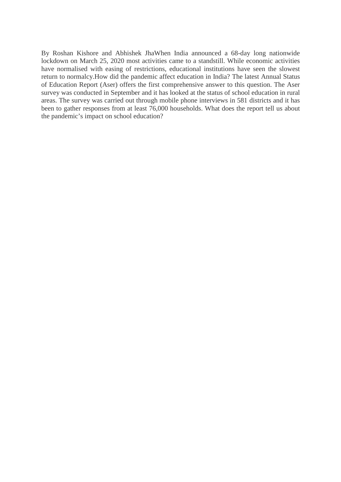By Roshan Kishore and Abhishek JhaWhen India announced a 68-day long nationwide lockdown on March 25, 2020 most activities came to a standstill. While economic activities have normalised with easing of restrictions, educational institutions have seen the slowest return to normalcy.How did the pandemic affect education in India? The latest Annual Status of Education Report (Aser) offers the first comprehensive answer to this question. The Aser survey was conducted in September and it has looked at the status of school education in rural areas. The survey was carried out through mobile phone interviews in 581 districts and it has been to gather responses from at least 76,000 households. What does the report tell us about the pandemic's impact on school education?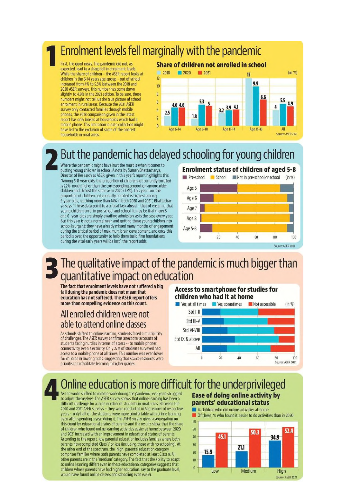# Enrolment levels fell marginally with the pandemic

First, the good news. The pandemic did not, as expected, lead to a sharp fall in enrolment levels. While the share of children - the ASER report looks at children in the 6-14 years age-group - out of school Increased from 4% to 5.5% between the 2018 and 2020 ASER surveys, this number has come down slightly to 4.9% in the 2021 edition. To be sure, these numbers might not tell us the true picture of school enrolment in rural areas. Because the 2021 ASER survey only contacted families through mobile phones, the 2018 comparison given in the latest report has only looked at households which had a mobile phone. This limitation in data collection might have led to the exclusion of some of the poorest households in rural areas

#### Share of children not enrolled in school



# But the pandemic has delayed schooling for young children

Where the pandemic might have hurt the most is when it comes to putting young children in school. A note by Suman Bhattacharya, Director of Research as ASER, given in this year's report highlights this. "Among 5-8-year-olds, the proportion of children not currently enrolled is 7.2%, much higher than the corresponding proportion among older<br>children and almost the same as in 2020 (7.5%). This year too, the proportion of children not currently enrolled is highest among 5-year-olds, reaching more than 14% in both 2020 and 2021", Bhattacharva says. "These data point to a critical task ahead - that of ensuring that young children enrol in pre-school and school. It may be that many 5and 6- year-olds are simply awaiting admission, as is the case every year. But this year is not a normal year, and getting these young children into school is urgent: they have already missed many months of engagement during the critical period of maximum brain development, and once this period is over, the opportunity to help them build firm foundations during the vital early years will be lost", the report adds.

# **Enrolment status of children of aged 5-8**



# The qualitative impact of the pandemic is much bigger than quantitative impact on education

The fact that enrolment levels have not suffered a big fall during the pandemic does not mean that education has not suffered. The ASER report offers more than compelling evidence on this count.

# All enrolled children were not able to attend online classes

As schools shifted to online learning, students faced a multiplicity of challenges. The ASER survey confirms anecdotal accounts of students facing hurdles in terms of access -- to mobile phones. connectivity, even electricity. Only 27% of students surveyed had access to a mobile phone at all times. This number was even lower for children in lower grades, suggesting that scarce resources were prioritised to facilitate learning in higher grades.

#### **Access to smartphone for studies for** children who had it at home



# Online education is more difficult for the underprivileged

As the world shifted to remote work during the pandemic, everyone struggled to adjust themselves. The ASER survey shows that online learning has been a difficult challenge for a large number of students in rural areas. Between the 2020 and 2021 ASER surveys - they were conducted in September of respective years - only half of the students were more comfortable with online learning even after spending a year doing it. The ASER survey gives a segregation on this count by educational status of parents and the results show that the share of children who found online learning activities easier at home between 2020 and 2021 increased with an improvement in educational status of parents. According to the report, low parental education includes families where both parents have completed Class V or less (including those with no schooling). At the other end of the spectrum, the 'high' parental education category comprises families where both parents have completed at least Class 9. All other parents are in the 'medium' category. The fact that the ability to adapt to online learning differs even in these educational categories suggests that children whose parents have had higher education, say to the graduate level, would have found online classes and schooling even easier.

#### **Ease of doing online activity by** parents' educational status

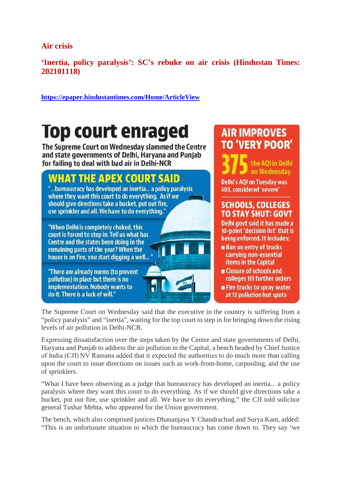**Air crisis**

**'Inertia, policy paralysis': SC's rebuke on air crisis (Hindustan Times: 202101118)**

**https://epaper.hindustantimes.com/Home/ArticleView**

# Top court enraged

The Supreme Court on Wednesday slammed the Centre and state governments of Delhi, Haryana and Punjab for failing to deal with bad air in Delhi-NCR

# **WHAT THE APEX COURT SAID**

"...bureaucracy has developed an inertia... a policy paralysis where they want this court to do everything. As if we should give directions take a bucket, put out fire, use sprinkler and all. We have to do everything."

"When Delhi is completely choked, this court is forced to step in. Tell us what has Centre and the states been doing in the remaining parts of the year? When the house is on fire, you start digging a well...

"There are already norms (to prevent pollution) in place but there is no implementation. Nobody wants to do it. There is a lack of will."

# **AIR IMPROVES TO 'VERY POOR'**

the AOI in Delhi on Wednesday **Delhi's AQI on Tuesday was** 403, considered 'severe'

# **SCHOOLS, COLLEGES TO STAY SHUT: GOVT**

Delhi govt said it has made a 10-point 'decision list' that is being enforced. It includes:

- **Ban on entry of trucks** carrying non-essential items in the Capital
- **u** Closure of schools and colleges till further orders **Fire trucks to spray water**
- at 13 pollution hot spots

The Supreme Court on Wednesday said that the executive in the country is suffering from a "policy paralysis" and "inertia", waiting for the top court to step in for bringing down the rising levels of air pollution in Delhi-NCR.

Expressing dissatisfaction over the steps taken by the Centre and state governments of Delhi, Haryana and Punjab to address the air pollution in the Capital, a bench headed by Chief Justice of India (CJI) NV Ramana added that it expected the authorities to do much more than calling upon the court to issue directions on issues such as work-from-home, carpooling, and the use of sprinklers.

"What I have been observing as a judge that bureaucracy has developed an inertia... a policy paralysis where they want this court to do everything. As if we should give directions take a bucket, put out fire, use sprinkler and all. We have to do everything," the CJI told solicitor general Tushar Mehta, who appeared for the Union government.

The bench, which also comprised justices Dhananjaya Y Chandrachud and Surya Kant, added: "This is an unfortunate situation to which the bureaucracy has come down to. They say 'we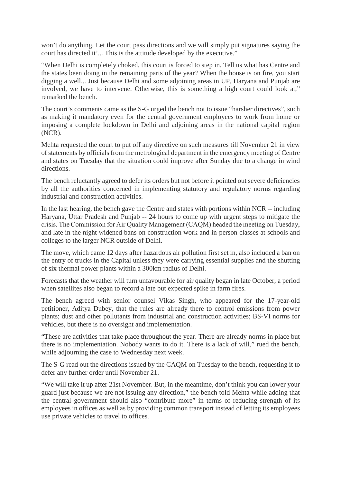won't do anything. Let the court pass directions and we will simply put signatures saying the court has directed it'... This is the attitude developed by the executive."

"When Delhi is completely choked, this court is forced to step in. Tell us what has Centre and the states been doing in the remaining parts of the year? When the house is on fire, you start digging a well... Just because Delhi and some adjoining areas in UP, Haryana and Punjab are involved, we have to intervene. Otherwise, this is something a high court could look at," remarked the bench.

The court's comments came as the S-G urged the bench not to issue "harsher directives", such as making it mandatory even for the central government employees to work from home or imposing a complete lockdown in Delhi and adjoining areas in the national capital region (NCR).

Mehta requested the court to put off any directive on such measures till November 21 in view of statements by officials from the metrological department in the emergency meeting of Centre and states on Tuesday that the situation could improve after Sunday due to a change in wind directions.

The bench reluctantly agreed to defer its orders but not before it pointed out severe deficiencies by all the authorities concerned in implementing statutory and regulatory norms regarding industrial and construction activities.

In the last hearing, the bench gave the Centre and states with portions within NCR -- including Haryana, Uttar Pradesh and Punjab -- 24 hours to come up with urgent steps to mitigate the crisis. The Commission for Air Quality Management (CAQM) headed the meeting on Tuesday, and late in the night widened bans on construction work and in-person classes at schools and colleges to the larger NCR outside of Delhi.

The move, which came 12 days after hazardous air pollution first set in, also included a ban on the entry of trucks in the Capital unless they were carrying essential supplies and the shutting of six thermal power plants within a 300km radius of Delhi.

Forecasts that the weather will turn unfavourable for air quality began in late October, a period when satellites also began to record a late but expected spike in farm fires.

The bench agreed with senior counsel Vikas Singh, who appeared for the 17-year-old petitioner, Aditya Dubey, that the rules are already there to control emissions from power plants; dust and other pollutants from industrial and construction activities; BS-VI norms for vehicles, but there is no oversight and implementation.

"These are activities that take place throughout the year. There are already norms in place but there is no implementation. Nobody wants to do it. There is a lack of will," rued the bench, while adjourning the case to Wednesday next week.

The S-G read out the directions issued by the CAQM on Tuesday to the bench, requesting it to defer any further order until November 21.

"We will take it up after 21st November. But, in the meantime, don't think you can lower your guard just because we are not issuing any direction," the bench told Mehta while adding that the central government should also "contribute more" in terms of reducing strength of its employees in offices as well as by providing common transport instead of letting its employees use private vehicles to travel to offices.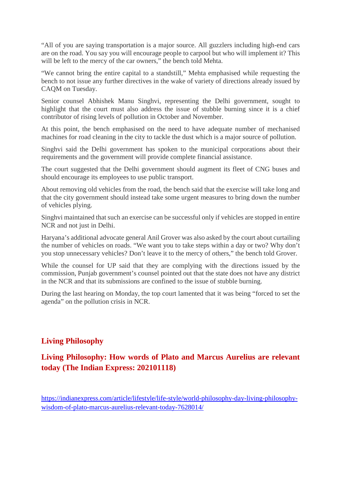"All of you are saying transportation is a major source. All guzzlers including high-end cars are on the road. You say you will encourage people to carpool but who will implement it? This will be left to the mercy of the car owners," the bench told Mehta.

"We cannot bring the entire capital to a standstill," Mehta emphasised while requesting the bench to not issue any further directives in the wake of variety of directions already issued by CAQM on Tuesday.

Senior counsel Abhishek Manu Singhvi, representing the Delhi government, sought to highlight that the court must also address the issue of stubble burning since it is a chief contributor of rising levels of pollution in October and November.

At this point, the bench emphasised on the need to have adequate number of mechanised machines for road cleaning in the city to tackle the dust which is a major source of pollution.

Singhvi said the Delhi government has spoken to the municipal corporations about their requirements and the government will provide complete financial assistance.

The court suggested that the Delhi government should augment its fleet of CNG buses and should encourage its employees to use public transport.

About removing old vehicles from the road, the bench said that the exercise will take long and that the city government should instead take some urgent measures to bring down the number of vehicles plying.

Singhvi maintained that such an exercise can be successful only if vehicles are stopped in entire NCR and not just in Delhi.

Haryana's additional advocate general Anil Grover was also asked by the court about curtailing the number of vehicles on roads. "We want you to take steps within a day or two? Why don't you stop unnecessary vehicles? Don't leave it to the mercy of others," the bench told Grover.

While the counsel for UP said that they are complying with the directions issued by the commission, Punjab government's counsel pointed out that the state does not have any district in the NCR and that its submissions are confined to the issue of stubble burning.

During the last hearing on Monday, the top court lamented that it was being "forced to set the agenda" on the pollution crisis in NCR.

#### **Living Philosophy**

# **Living Philosophy: How words of Plato and Marcus Aurelius are relevant today (The Indian Express: 202101118)**

https://indianexpress.com/article/lifestyle/life-style/world-philosophy-day-living-philosophywisdom-of-plato-marcus-aurelius-relevant-today-7628014/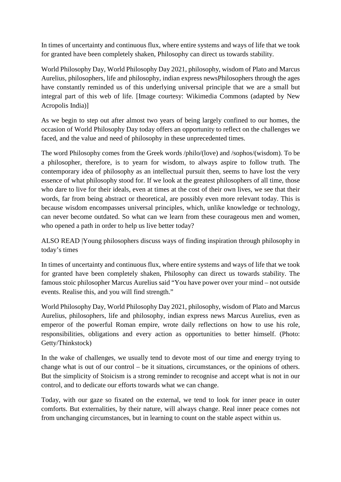In times of uncertainty and continuous flux, where entire systems and ways of life that we took for granted have been completely shaken, Philosophy can direct us towards stability.

World Philosophy Day, World Philosophy Day 2021, philosophy, wisdom of Plato and Marcus Aurelius, philosophers, life and philosophy, indian express newsPhilosophers through the ages have constantly reminded us of this underlying universal principle that we are a small but integral part of this web of life. [Image courtesy: Wikimedia Commons (adapted by New Acropolis India)]

As we begin to step out after almost two years of being largely confined to our homes, the occasion of World Philosophy Day today offers an opportunity to reflect on the challenges we faced, and the value and need of philosophy in these unprecedented times.

The word Philosophy comes from the Greek words /philo/(love) and /sophos/(wisdom). To be a philosopher, therefore, is to yearn for wisdom, to always aspire to follow truth. The contemporary idea of philosophy as an intellectual pursuit then, seems to have lost the very essence of what philosophy stood for. If we look at the greatest philosophers of all time, those who dare to live for their ideals, even at times at the cost of their own lives, we see that their words, far from being abstract or theoretical, are possibly even more relevant today. This is because wisdom encompasses universal principles, which, unlike knowledge or technology, can never become outdated. So what can we learn from these courageous men and women, who opened a path in order to help us live better today?

ALSO READ |Young philosophers discuss ways of finding inspiration through philosophy in today's times

In times of uncertainty and continuous flux, where entire systems and ways of life that we took for granted have been completely shaken, Philosophy can direct us towards stability. The famous stoic philosopher Marcus Aurelius said "You have power over your mind – not outside events. Realise this, and you will find strength."

World Philosophy Day, World Philosophy Day 2021, philosophy, wisdom of Plato and Marcus Aurelius, philosophers, life and philosophy, indian express news Marcus Aurelius, even as emperor of the powerful Roman empire, wrote daily reflections on how to use his role, responsibilities, obligations and every action as opportunities to better himself. (Photo: Getty/Thinkstock)

In the wake of challenges, we usually tend to devote most of our time and energy trying to change what is out of our control – be it situations, circumstances, or the opinions of others. But the simplicity of Stoicism is a strong reminder to recognise and accept what is not in our control, and to dedicate our efforts towards what we can change.

Today, with our gaze so fixated on the external, we tend to look for inner peace in outer comforts. But externalities, by their nature, will always change. Real inner peace comes not from unchanging circumstances, but in learning to count on the stable aspect within us.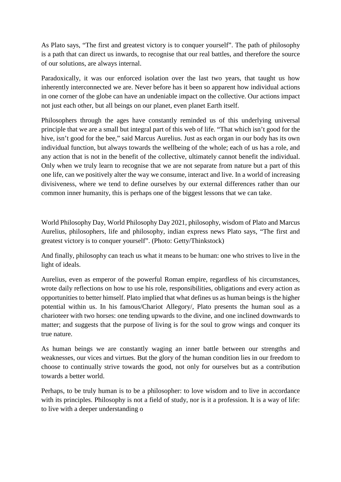As Plato says, "The first and greatest victory is to conquer yourself". The path of philosophy is a path that can direct us inwards, to recognise that our real battles, and therefore the source of our solutions, are always internal.

Paradoxically, it was our enforced isolation over the last two years, that taught us how inherently interconnected we are. Never before has it been so apparent how individual actions in one corner of the globe can have an undeniable impact on the collective. Our actions impact not just each other, but all beings on our planet, even planet Earth itself.

Philosophers through the ages have constantly reminded us of this underlying universal principle that we are a small but integral part of this web of life. "That which isn't good for the hive, isn't good for the bee," said Marcus Aurelius. Just as each organ in our body has its own individual function, but always towards the wellbeing of the whole; each of us has a role, and any action that is not in the benefit of the collective, ultimately cannot benefit the individual. Only when we truly learn to recognise that we are not separate from nature but a part of this one life, can we positively alter the way we consume, interact and live. In a world of increasing divisiveness, where we tend to define ourselves by our external differences rather than our common inner humanity, this is perhaps one of the biggest lessons that we can take.

World Philosophy Day, World Philosophy Day 2021, philosophy, wisdom of Plato and Marcus Aurelius, philosophers, life and philosophy, indian express news Plato says, "The first and greatest victory is to conquer yourself". (Photo: Getty/Thinkstock)

And finally, philosophy can teach us what it means to be human: one who strives to live in the light of ideals.

Aurelius, even as emperor of the powerful Roman empire, regardless of his circumstances, wrote daily reflections on how to use his role, responsibilities, obligations and every action as opportunities to better himself. Plato implied that what defines us as human beings is the higher potential within us. In his famous/Chariot Allegory/, Plato presents the human soul as a charioteer with two horses: one tending upwards to the divine, and one inclined downwards to matter; and suggests that the purpose of living is for the soul to grow wings and conquer its true nature.

As human beings we are constantly waging an inner battle between our strengths and weaknesses, our vices and virtues. But the glory of the human condition lies in our freedom to choose to continually strive towards the good, not only for ourselves but as a contribution towards a better world.

Perhaps, to be truly human is to be a philosopher: to love wisdom and to live in accordance with its principles. Philosophy is not a field of study, nor is it a profession. It is a way of life: to live with a deeper understanding o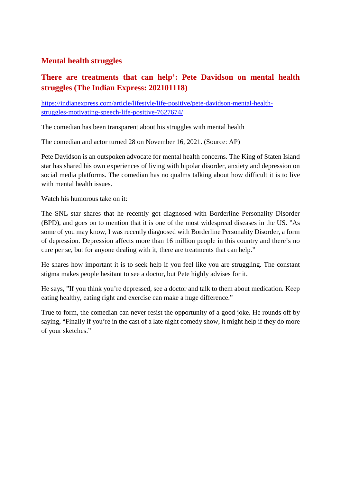#### **Mental health struggles**

# **There are treatments that can help': Pete Davidson on mental health struggles (The Indian Express: 202101118)**

https://indianexpress.com/article/lifestyle/life-positive/pete-davidson-mental-healthstruggles-motivating-speech-life-positive-7627674/

The comedian has been transparent about his struggles with mental health

The comedian and actor turned 28 on November 16, 2021. (Source: AP)

Pete Davidson is an outspoken advocate for mental health concerns. The King of Staten Island star has shared his own experiences of living with bipolar disorder, anxiety and depression on social media platforms. The comedian has no qualms talking about how difficult it is to live with mental health issues.

Watch his humorous take on it:

The SNL star shares that he recently got diagnosed with Borderline Personality Disorder (BPD), and goes on to mention that it is one of the most widespread diseases in the US. "As some of you may know, I was recently diagnosed with Borderline Personality Disorder, a form of depression. Depression affects more than 16 million people in this country and there's no cure per se, but for anyone dealing with it, there are treatments that can help."

He shares how important it is to seek help if you feel like you are struggling. The constant stigma makes people hesitant to see a doctor, but Pete highly advises for it.

He says, "If you think you're depressed, see a doctor and talk to them about medication. Keep eating healthy, eating right and exercise can make a huge difference."

True to form, the comedian can never resist the opportunity of a good joke. He rounds off by saying, "Finally if you're in the cast of a late night comedy show, it might help if they do more of your sketches."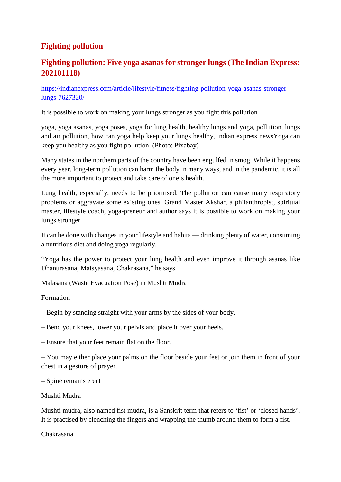## **Fighting pollution**

## **Fighting pollution: Five yoga asanas for stronger lungs (The Indian Express: 202101118)**

https://indianexpress.com/article/lifestyle/fitness/fighting-pollution-yoga-asanas-strongerlungs-7627320/

It is possible to work on making your lungs stronger as you fight this pollution

yoga, yoga asanas, yoga poses, yoga for lung health, healthy lungs and yoga, pollution, lungs and air pollution, how can yoga help keep your lungs healthy, indian express newsYoga can keep you healthy as you fight pollution. (Photo: Pixabay)

Many states in the northern parts of the country have been engulfed in smog. While it happens every year, long-term pollution can harm the body in many ways, and in the pandemic, it is all the more important to protect and take care of one's health.

Lung health, especially, needs to be prioritised. The pollution can cause many respiratory problems or aggravate some existing ones. Grand Master Akshar, a philanthropist, spiritual master, lifestyle coach, yoga-preneur and author says it is possible to work on making your lungs stronger.

It can be done with changes in your lifestyle and habits — drinking plenty of water, consuming a nutritious diet and doing yoga regularly.

"Yoga has the power to protect your lung health and even improve it through asanas like Dhanurasana, Matsyasana, Chakrasana," he says.

Malasana (Waste Evacuation Pose) in Mushti Mudra

Formation

- Begin by standing straight with your arms by the sides of your body.
- Bend your knees, lower your pelvis and place it over your heels.
- Ensure that your feet remain flat on the floor.

– You may either place your palms on the floor beside your feet or join them in front of your chest in a gesture of prayer.

– Spine remains erect

#### Mushti Mudra

Mushti mudra, also named fist mudra, is a Sanskrit term that refers to 'fist' or 'closed hands'. It is practised by clenching the fingers and wrapping the thumb around them to form a fist.

Chakrasana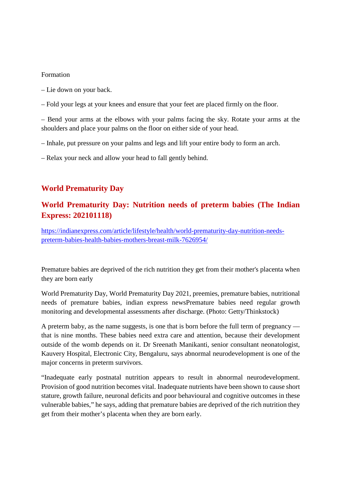#### Formation

- Lie down on your back.
- Fold your legs at your knees and ensure that your feet are placed firmly on the floor.

– Bend your arms at the elbows with your palms facing the sky. Rotate your arms at the shoulders and place your palms on the floor on either side of your head.

- Inhale, put pressure on your palms and legs and lift your entire body to form an arch.
- Relax your neck and allow your head to fall gently behind.

#### **World Prematurity Day**

## **World Prematurity Day: Nutrition needs of preterm babies (The Indian Express: 202101118)**

https://indianexpress.com/article/lifestyle/health/world-prematurity-day-nutrition-needspreterm-babies-health-babies-mothers-breast-milk-7626954/

Premature babies are deprived of the rich nutrition they get from their mother's placenta when they are born early

World Prematurity Day, World Prematurity Day 2021, preemies, premature babies, nutritional needs of premature babies, indian express newsPremature babies need regular growth monitoring and developmental assessments after discharge. (Photo: Getty/Thinkstock)

A preterm baby, as the name suggests, is one that is born before the full term of pregnancy that is nine months. These babies need extra care and attention, because their development outside of the womb depends on it. Dr Sreenath Manikanti, senior consultant neonatologist, Kauvery Hospital, Electronic City, Bengaluru, says abnormal neurodevelopment is one of the major concerns in preterm survivors.

"Inadequate early postnatal nutrition appears to result in abnormal neurodevelopment. Provision of good nutrition becomes vital. Inadequate nutrients have been shown to cause short stature, growth failure, neuronal deficits and poor behavioural and cognitive outcomes in these vulnerable babies," he says, adding that premature babies are deprived of the rich nutrition they get from their mother's placenta when they are born early.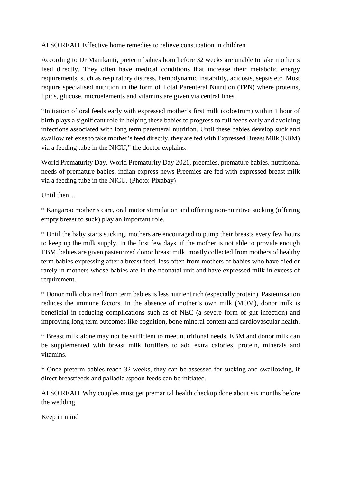#### ALSO READ |Effective home remedies to relieve constipation in children

According to Dr Manikanti, preterm babies born before 32 weeks are unable to take mother's feed directly. They often have medical conditions that increase their metabolic energy requirements, such as respiratory distress, hemodynamic instability, acidosis, sepsis etc. Most require specialised nutrition in the form of Total Parenteral Nutrition (TPN) where proteins, lipids, glucose, microelements and vitamins are given via central lines.

"Initiation of oral feeds early with expressed mother's first milk (colostrum) within 1 hour of birth plays a significant role in helping these babies to progress to full feeds early and avoiding infections associated with long term parenteral nutrition. Until these babies develop suck and swallow reflexes to take mother's feed directly, they are fed with Expressed Breast Milk (EBM) via a feeding tube in the NICU," the doctor explains.

World Prematurity Day, World Prematurity Day 2021, preemies, premature babies, nutritional needs of premature babies, indian express news Preemies are fed with expressed breast milk via a feeding tube in the NICU. (Photo: Pixabay)

Until then…

\* Kangaroo mother's care, oral motor stimulation and offering non-nutritive sucking (offering empty breast to suck) play an important role.

\* Until the baby starts sucking, mothers are encouraged to pump their breasts every few hours to keep up the milk supply. In the first few days, if the mother is not able to provide enough EBM, babies are given pasteurized donor breast milk, mostly collected from mothers of healthy term babies expressing after a breast feed, less often from mothers of babies who have died or rarely in mothers whose babies are in the neonatal unit and have expressed milk in excess of requirement.

\* Donor milk obtained from term babies is less nutrient rich (especially protein). Pasteurisation reduces the immune factors. In the absence of mother's own milk (MOM), donor milk is beneficial in reducing complications such as of NEC (a severe form of gut infection) and improving long term outcomes like cognition, bone mineral content and cardiovascular health.

\* Breast milk alone may not be sufficient to meet nutritional needs. EBM and donor milk can be supplemented with breast milk fortifiers to add extra calories, protein, minerals and vitamins.

\* Once preterm babies reach 32 weeks, they can be assessed for sucking and swallowing, if direct breastfeeds and palladia /spoon feeds can be initiated.

ALSO READ |Why couples must get premarital health checkup done about six months before the wedding

Keep in mind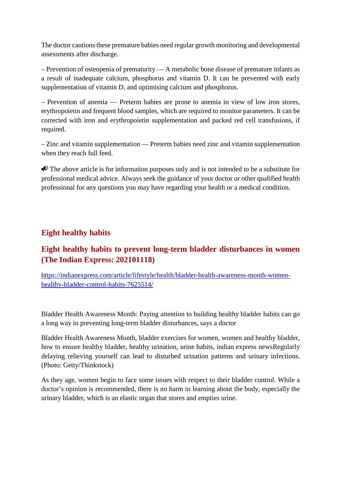The doctor cautions these premature babies need regular growth monitoring and developmental assessments after discharge.

– Prevention of osteopenia of prematurity — A metabolic bone disease of premature infants as a result of inadequate calcium, phosphorus and vitamin D. It can be prevented with early supplementation of vitamin D, and optimising calcium and phosphorus.

– Prevention of anemia — Preterm babies are prone to anemia in view of low iron stores, erythropoietin and frequent blood samples, which are required to monitor parameters. It can be corrected with iron and erythropoietin supplementation and packed red cell transfusions, if required.

– Zinc and vitamin supplementation — Preterm babies need zinc and vitamin supplementation when they reach full feed.

 $\bigotimes$  The above article is for information purposes only and is not intended to be a substitute for professional medical advice. Always seek the guidance of your doctor or other qualified health professional for any questions you may have regarding your health or a medical condition.

### **Eight healthy habits**

# **Eight healthy habits to prevent long-term bladder disturbances in women (The Indian Express: 202101118)**

https://indianexpress.com/article/lifestyle/health/bladder-health-awareness-month-womenhealthy-bladder-control-habits-7625514/

Bladder Health Awareness Month: Paying attention to building healthy bladder habits can go a long way in preventing long-term bladder disturbances, says a doctor

Bladder Health Awareness Month, bladder exercises for women, women and healthy bladder, how to ensure healthy bladder, healthy urination, urine habits, indian express newsRegularly delaying relieving yourself can lead to disturbed urination patterns and urinary infections. (Photo: Getty/Thinkstock)

As they age, women begin to face some issues with respect to their bladder control. While a doctor's opinion is recommended, there is no harm in learning about the body, especially the urinary bladder, which is an elastic organ that stores and empties urine.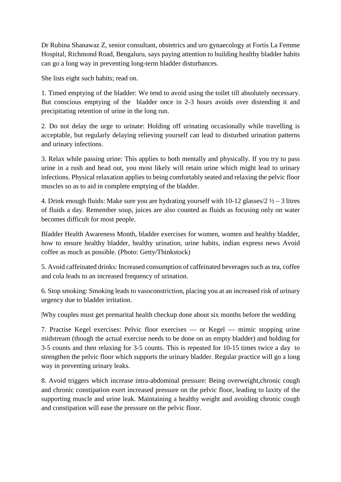Dr Rubina Shanawaz Z, senior consultant, obstetrics and uro gynaecology at Fortis La Femme Hospital, Richmond Road, Bengaluru, says paying attention to building healthy bladder habits can go a long way in preventing long-term bladder disturbances.

She lists eight such habits; read on.

1. Timed emptying of the bladder: We tend to avoid using the toilet till absolutely necessary. But conscious emptying of the bladder once in 2-3 hours avoids over distending it and precipitating retention of urine in the long run.

2. Do not delay the urge to urinate: Holding off urinating occasionally while travelling is acceptable, but regularly delaying relieving yourself can lead to disturbed urination patterns and urinary infections.

3. Relax while passing urine: This applies to both mentally and physically. If you try to pass urine in a rush and head out, you most likely will retain urine which might lead to urinary infections. Physical relaxation applies to being comfortably seated and relaxing the pelvic floor muscles so as to aid in complete emptying of the bladder.

4. Drink enough fluids: Make sure you are hydrating yourself with  $10-12$  glasses/ $2\frac{1}{2} - 3$  litres of fluids a day. Remember soup, juices are also counted as fluids as focusing only on water becomes difficult for most people.

Bladder Health Awareness Month, bladder exercises for women, women and healthy bladder, how to ensure healthy bladder, healthy urination, urine habits, indian express news Avoid coffee as much as possible. (Photo: Getty/Thinkstock)

5. Avoid caffeinated drinks: Increased consumption of caffeinated beverages such as tea, coffee and cola leads to an increased frequency of urination.

6. Stop smoking: Smoking leads to vasoconstriction, placing you at an increased risk of urinary urgency due to bladder irritation.

|Why couples must get premarital health checkup done about six months before the wedding

7. Practise Kegel exercises: Pelvic floor exercises — or Kegel — mimic stopping urine midstream (though the actual exercise needs to be done on an empty bladder) and holding for 3-5 counts and then relaxing for 3-5 counts. This is repeated for 10-15 times twice a day to strengthen the pelvic floor which supports the urinary bladder. Regular practice will go a long way in preventing urinary leaks.

8. Avoid triggers which increase intra-abdominal pressure: Being overweight,chronic cough and chronic constipation exert increased pressure on the pelvic floor, leading to laxity of the supporting muscle and urine leak. Maintaining a healthy weight and avoiding chronic cough and constipation will ease the pressure on the pelvic floor.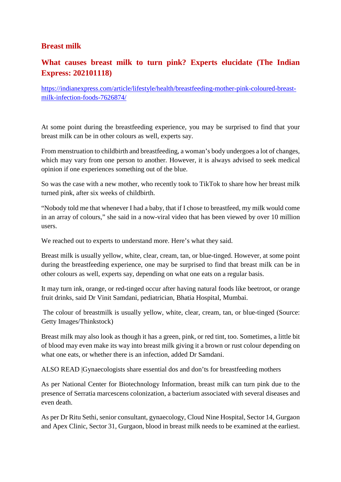#### **Breast milk**

## **What causes breast milk to turn pink? Experts elucidate (The Indian Express: 202101118)**

https://indianexpress.com/article/lifestyle/health/breastfeeding-mother-pink-coloured-breastmilk-infection-foods-7626874/

At some point during the breastfeeding experience, you may be surprised to find that your breast milk can be in other colours as well, experts say.

From menstruation to childbirth and breastfeeding, a woman's body undergoes a lot of changes, which may vary from one person to another. However, it is always advised to seek medical opinion if one experiences something out of the blue.

So was the case with a new mother, who recently took to TikTok to share how her breast milk turned pink, after six weeks of childbirth.

"Nobody told me that whenever I had a baby, that if I chose to breastfeed, my milk would come in an array of colours," she said in a now-viral video that has been viewed by over 10 million users.

We reached out to experts to understand more. Here's what they said.

Breast milk is usually yellow, white, clear, cream, tan, or blue-tinged. However, at some point during the breastfeeding experience, one may be surprised to find that breast milk can be in other colours as well, experts say, depending on what one eats on a regular basis.

It may turn ink, orange, or red-tinged occur after having natural foods like beetroot, or orange fruit drinks, said Dr Vinit Samdani, pediatrician, Bhatia Hospital, Mumbai.

The colour of breastmilk is usually yellow, white, clear, cream, tan, or blue-tinged (Source: Getty Images/Thinkstock)

Breast milk may also look as though it has a green, pink, or red tint, too. Sometimes, a little bit of blood may even make its way into breast milk giving it a brown or rust colour depending on what one eats, or whether there is an infection, added Dr Samdani.

ALSO READ |Gynaecologists share essential dos and don'ts for breastfeeding mothers

As per National Center for Biotechnology Information, breast milk can turn pink due to the presence of Serratia marcescens colonization, a bacterium associated with several diseases and even death.

As per Dr Ritu Sethi, senior consultant, gynaecology, Cloud Nine Hospital, Sector 14, Gurgaon and Apex Clinic, Sector 31, Gurgaon, blood in breast milk needs to be examined at the earliest.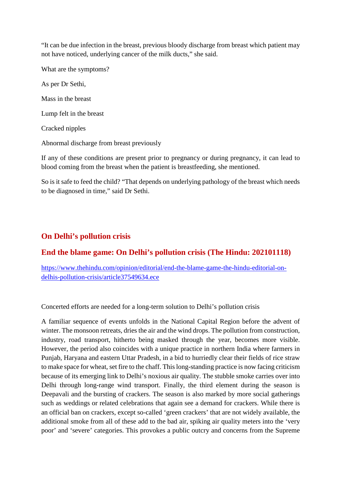"It can be due infection in the breast, previous bloody discharge from breast which patient may not have noticed, underlying cancer of the milk ducts," she said.

What are the symptoms?

As per Dr Sethi,

Mass in the breast

Lump felt in the breast

Cracked nipples

Abnormal discharge from breast previously

If any of these conditions are present prior to pregnancy or during pregnancy, it can lead to blood coming from the breast when the patient is breastfeeding, she mentioned.

So is it safe to feed the child? "That depends on underlying pathology of the breast which needs to be diagnosed in time," said Dr Sethi.

#### **On Delhi's pollution crisis**

#### **End the blame game: On Delhi's pollution crisis (The Hindu: 202101118)**

https://www.thehindu.com/opinion/editorial/end-the-blame-game-the-hindu-editorial-ondelhis-pollution-crisis/article37549634.ece

Concerted efforts are needed for a long-term solution to Delhi's pollution crisis

A familiar sequence of events unfolds in the National Capital Region before the advent of winter. The monsoon retreats, dries the air and the wind drops. The pollution from construction, industry, road transport, hitherto being masked through the year, becomes more visible. However, the period also coincides with a unique practice in northern India where farmers in Punjab, Haryana and eastern Uttar Pradesh, in a bid to hurriedly clear their fields of rice straw to make space for wheat, set fire to the chaff. This long-standing practice is now facing criticism because of its emerging link to Delhi's noxious air quality. The stubble smoke carries over into Delhi through long-range wind transport. Finally, the third element during the season is Deepavali and the bursting of crackers. The season is also marked by more social gatherings such as weddings or related celebrations that again see a demand for crackers. While there is an official ban on crackers, except so-called 'green crackers' that are not widely available, the additional smoke from all of these add to the bad air, spiking air quality meters into the 'very poor' and 'severe' categories. This provokes a public outcry and concerns from the Supreme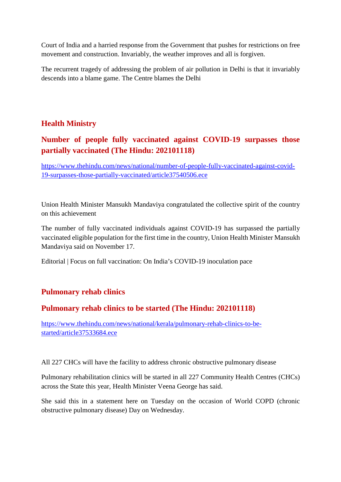Court of India and a harried response from the Government that pushes for restrictions on free movement and construction. Invariably, the weather improves and all is forgiven.

The recurrent tragedy of addressing the problem of air pollution in Delhi is that it invariably descends into a blame game. The Centre blames the Delhi

### **Health Ministry**

## **Number of people fully vaccinated against COVID-19 surpasses those partially vaccinated (The Hindu: 202101118)**

https://www.thehindu.com/news/national/number-of-people-fully-vaccinated-against-covid-19-surpasses-those-partially-vaccinated/article37540506.ece

Union Health Minister Mansukh Mandaviya congratulated the collective spirit of the country on this achievement

The number of fully vaccinated individuals against COVID-19 has surpassed the partially vaccinated eligible population for the first time in the country, Union Health Minister Mansukh Mandaviya said on November 17.

Editorial | Focus on full vaccination: On India's COVID-19 inoculation pace

#### **Pulmonary rehab clinics**

#### **Pulmonary rehab clinics to be started (The Hindu: 202101118)**

https://www.thehindu.com/news/national/kerala/pulmonary-rehab-clinics-to-bestarted/article37533684.ece

All 227 CHCs will have the facility to address chronic obstructive pulmonary disease

Pulmonary rehabilitation clinics will be started in all 227 Community Health Centres (CHCs) across the State this year, Health Minister Veena George has said.

She said this in a statement here on Tuesday on the occasion of World COPD (chronic obstructive pulmonary disease) Day on Wednesday.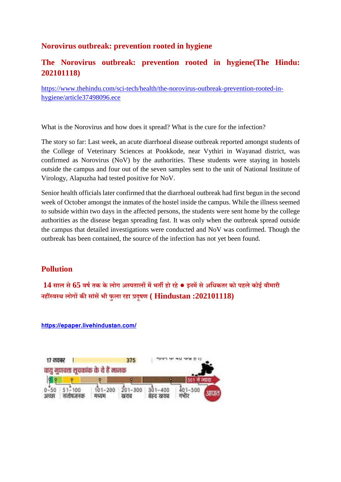#### **Norovirus outbreak: prevention rooted in hygiene**

### **The Norovirus outbreak: prevention rooted in hygiene(The Hindu: 202101118)**

https://www.thehindu.com/sci-tech/health/the-norovirus-outbreak-prevention-rooted-inhygiene/article37498096.ece

What is the Norovirus and how does it spread? What is the cure for the infection?

The story so far: Last week, an acute diarrhoeal disease outbreak reported amongst students of the College of Veterinary Sciences at Pookkode, near Vythiri in Wayanad district, was confirmed as Norovirus (NoV) by the authorities. These students were staying in hostels outside the campus and four out of the seven samples sent to the unit of National Institute of Virology, Alapuzha had tested positive for NoV.

Senior health officials later confirmed that the diarrhoeal outbreak had first begun in the second week of October amongst the inmates of the hostel inside the campus. While the illness seemed to subside within two days in the affected persons, the students were sent home by the college authorities as the disease began spreading fast. It was only when the outbreak spread outside the campus that detailed investigations were conducted and NoV was confirmed. Though the outbreak has been contained, the source of the infection has not yet been found.

#### **Pollution**

**14 साल से65 वषतक के लोग अपतालमभतहो रहे● इनमसेअिधकतर को पहलेकोई बीमारी नहवथ लोगकसांसभी फुला रहा दूषण ( Hindustan :202101118)**

 $17$  नवबर $\blacksquare$ 375 वाय गणवत्ता सुचकांक के दे हैं नानक  $0 - 50 = 51 - 100$  $101 - 200$  $201 - 300$  $301 - 400$  $401 - 500$ अच्छा संतोषजनक मध्यम बेहद खराब स्वजात गर्भीत

**https://epaper.livehindustan.com/**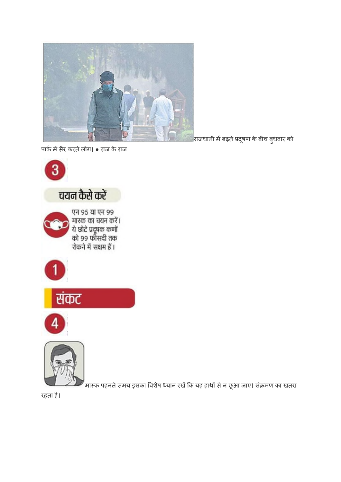रहता है।







एन 95 या एन 99 २५ ९५ था २५ ९९<br>मास्क का चयन करें।<br>ये छोटे प्रदूषक कर्णों<br>को ९९ फीसदी तक





पाकमसैर करतेलोग। ● राज के राज



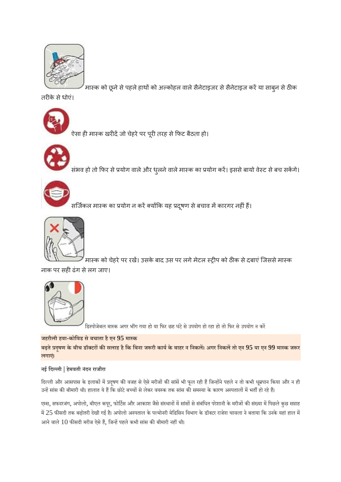

-<br>मास्क को छूने से पहले हाथों को अल्कोहल वाले सैनेटाइजर से सैनेटाइज करें या साबुन से ठीक

तरीके से धोएं।



,<br>ऐसा ही मास्क खरीदें जो चेहरे पर पूरी तरह से फिट बैठता हो।



.<br>संभव हो तो फिर से प्रयोग वाले और धुलने वाले मास्क का प्रयोग करें। इससे बायो वेस्ट से बच सकेंगे।



.<br>सर्जिकल मास्क का प्रयोग न करें क्योंकि यह प्रदूषण से बचाव में कारगर नहीं हैं।



।<br>मास्क को चेहरे पर रखें। उसके बाद उस पर लगे मेटल स्ट्रीप को ठीक से दबाएं जिससे मास्क

नाक पर सही ढंग से लग जाए।



डिस्पोजेबल मास्क अगर भींग गया हो या फिर छह घंटे से उपयोग हो रहा हो तो फिर से उपयोग न करें

#### **जहरीली हवा-कोिवड सेबचाता हैएन 95 माक**

बढ़ते प्रदूषण के बीच डॉक्टरों की सलाह है कि बिना जरूरी कार्य के बाहर न निकलें। अगर निकलें तो एन 95 या एन 99 मास्क जरूर **लगाए।ं**

#### **नई िदली | हेमवती नंदन राजौरा**

दिल्ली और आसपास के इलाकों में प्रदूषण की वजह से ऐसे मरीजों की सांसें भी फूल रही हैं जिन्होंने पहले न तो कभी धूम्रपान किया और न ही उन्हें सांस की बीमारी थी। हालात ये हैं कि छोटे बच्चों से लेकर वयस्क तक सांस की समस्या के कारण अस्पतालों में भर्ती हो रहे हैं।

एम्स, सफदरजंग, अपोलो, बीएल कपूर, फोर्टिस और आकाश जैसे संस्थानों में सांसों से संबंधित परेशानी के मरीजों की संख्या में पिछले कुछ सप्ताह में 25 फीसदी तक बढ़ोतरी देखी गई है। अपोलो अस्पताल के पल्मोनरी मेडिसिन विभाग के डॉक्टर राजेश चावला ने बताया कि उनके यहां हाल में आने वाले 10 फीसदी मरीज ऐसे हैं, जिन्हें पहले कभी सांस की बीमारी नहीं थी।